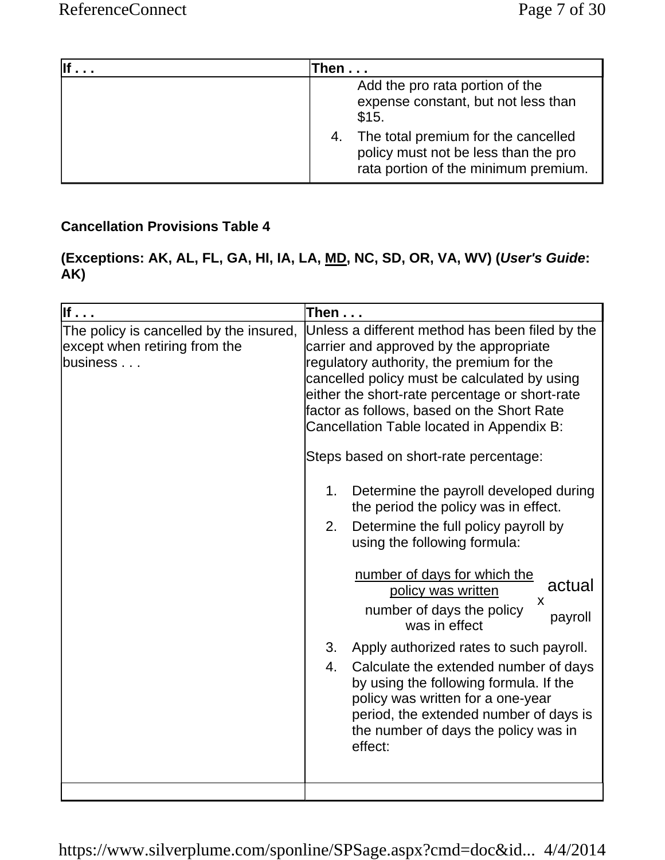| Then                                                                                                                |
|---------------------------------------------------------------------------------------------------------------------|
| Add the pro rata portion of the<br>expense constant, but not less than<br>\$15.                                     |
| The total premium for the cancelled<br>policy must not be less than the pro<br>rata portion of the minimum premium. |

# **Cancellation Provisions Table 4**

### **(Exceptions: AK, AL, FL, GA, HI, IA, LA, MD, NC, SD, OR, VA, WV) (***User's Guide***: AK)**

| If $\cdot$                                                                           | Then                                                                                                                                                                                                                                                                                                                                                                                                                                                                                                                                                                                                                                                                                                                                                                                                                                                                                                                                                          |
|--------------------------------------------------------------------------------------|---------------------------------------------------------------------------------------------------------------------------------------------------------------------------------------------------------------------------------------------------------------------------------------------------------------------------------------------------------------------------------------------------------------------------------------------------------------------------------------------------------------------------------------------------------------------------------------------------------------------------------------------------------------------------------------------------------------------------------------------------------------------------------------------------------------------------------------------------------------------------------------------------------------------------------------------------------------|
| The policy is cancelled by the insured,<br>except when retiring from the<br>business | Unless a different method has been filed by the<br>carrier and approved by the appropriate<br>regulatory authority, the premium for the<br>cancelled policy must be calculated by using<br>either the short-rate percentage or short-rate<br>factor as follows, based on the Short Rate<br>Cancellation Table located in Appendix B:<br>Steps based on short-rate percentage:<br>Determine the payroll developed during<br>1.<br>the period the policy was in effect.<br>Determine the full policy payroll by<br>2.<br>using the following formula:<br>number of days for which the<br>actual<br>policy was written<br>X<br>number of days the policy<br>payroll<br>was in effect<br>Apply authorized rates to such payroll.<br>3.<br>Calculate the extended number of days<br>4.<br>by using the following formula. If the<br>policy was written for a one-year<br>period, the extended number of days is<br>the number of days the policy was in<br>effect: |
|                                                                                      |                                                                                                                                                                                                                                                                                                                                                                                                                                                                                                                                                                                                                                                                                                                                                                                                                                                                                                                                                               |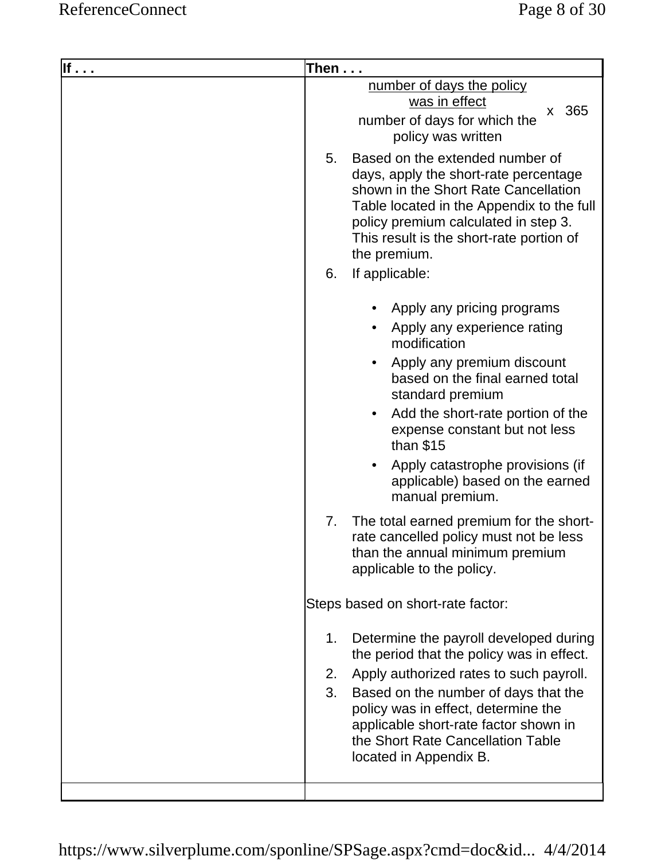| lf | Then $\dots$                                                                                                                                                                                                                                                                                                                                                                                                                                                                                            |
|----|---------------------------------------------------------------------------------------------------------------------------------------------------------------------------------------------------------------------------------------------------------------------------------------------------------------------------------------------------------------------------------------------------------------------------------------------------------------------------------------------------------|
|    | number of days the policy<br>was in effect<br>365<br>$\mathsf{X}^-$<br>number of days for which the<br>policy was written                                                                                                                                                                                                                                                                                                                                                                               |
|    | Based on the extended number of<br>5.<br>days, apply the short-rate percentage<br>shown in the Short Rate Cancellation<br>Table located in the Appendix to the full<br>policy premium calculated in step 3.<br>This result is the short-rate portion of<br>the premium.                                                                                                                                                                                                                                 |
|    | If applicable:<br>6.                                                                                                                                                                                                                                                                                                                                                                                                                                                                                    |
|    | Apply any pricing programs<br>Apply any experience rating<br>modification<br>Apply any premium discount<br>based on the final earned total<br>standard premium<br>Add the short-rate portion of the<br>expense constant but not less<br>than $$15$<br>Apply catastrophe provisions (if<br>applicable) based on the earned<br>manual premium.<br>The total earned premium for the short-<br>7.<br>rate cancelled policy must not be less<br>than the annual minimum premium<br>applicable to the policy. |
|    | Steps based on short-rate factor:                                                                                                                                                                                                                                                                                                                                                                                                                                                                       |
|    | Determine the payroll developed during<br>1.<br>the period that the policy was in effect.<br>Apply authorized rates to such payroll.<br>2.<br>Based on the number of days that the<br>3.<br>policy was in effect, determine the<br>applicable short-rate factor shown in<br>the Short Rate Cancellation Table<br>located in Appendix B.                                                                                                                                                                 |
|    |                                                                                                                                                                                                                                                                                                                                                                                                                                                                                                         |